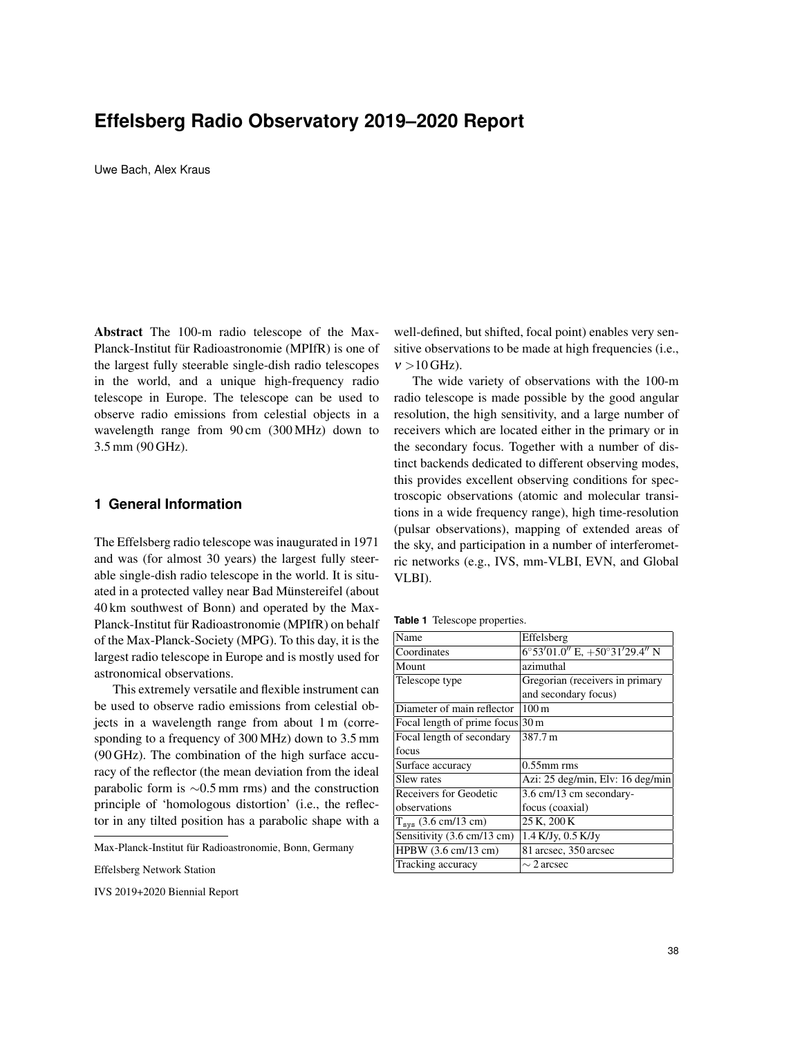# **Effelsberg Radio Observatory 2019–2020 Report**

Uwe Bach, Alex Kraus

Abstract The 100-m radio telescope of the Max-Planck-Institut für Radioastronomie (MPIfR) is one of the largest fully steerable single-dish radio telescopes in the world, and a unique high-frequency radio telescope in Europe. The telescope can be used to observe radio emissions from celestial objects in a wavelength range from 90 cm (300 MHz) down to 3.5 mm (90 GHz).

## **1 General Information**

The Effelsberg radio telescope was inaugurated in 1971 and was (for almost 30 years) the largest fully steerable single-dish radio telescope in the world. It is situated in a protected valley near Bad Münstereifel (about 40 km southwest of Bonn) and operated by the Max-Planck-Institut für Radioastronomie (MPIfR) on behalf of the Max-Planck-Society (MPG). To this day, it is the largest radio telescope in Europe and is mostly used for astronomical observations.

This extremely versatile and flexible instrument can be used to observe radio emissions from celestial objects in a wavelength range from about 1 m (corresponding to a frequency of 300 MHz) down to 3.5 mm (90 GHz). The combination of the high surface accuracy of the reflector (the mean deviation from the ideal parabolic form is ∼0.5 mm rms) and the construction principle of 'homologous distortion' (i.e., the reflector in any tilted position has a parabolic shape with a

well-defined, but shifted, focal point) enables very sensitive observations to be made at high frequencies (i.e.,  $v > 10$  GHz).

The wide variety of observations with the 100-m radio telescope is made possible by the good angular resolution, the high sensitivity, and a large number of receivers which are located either in the primary or in the secondary focus. Together with a number of distinct backends dedicated to different observing modes, this provides excellent observing conditions for spectroscopic observations (atomic and molecular transitions in a wide frequency range), high time-resolution (pulsar observations), mapping of extended areas of the sky, and participation in a number of interferometric networks (e.g., IVS, mm-VLBI, EVN, and Global VLBI).

**Table 1** Telescope properties.

| Name                                         | Effelsberg                                       |
|----------------------------------------------|--------------------------------------------------|
| Coordinates                                  | $6^{\circ}53'01.0''$ E, $+50^{\circ}31'29.4''$ N |
| Mount                                        | azimuthal                                        |
| Telescope type                               | Gregorian (receivers in primary                  |
|                                              | and secondary focus)                             |
| Diameter of main reflector                   | 100 <sub>m</sub>                                 |
| Focal length of prime focus $ 30 \text{ m} $ |                                                  |
| Focal length of secondary                    | 387.7 m                                          |
| focus                                        |                                                  |
| Surface accuracy                             | $0.55$ mm rms                                    |
| Slew rates                                   | Azi: 25 deg/min, Elv: 16 deg/min                 |
| Receivers for Geodetic                       | 3.6 cm/13 cm secondary-                          |
| observations                                 | focus (coaxial)                                  |
| $T_{sys}$ (3.6 cm/13 cm)                     | 25 K, 200 K                                      |
| Sensitivity (3.6 cm/13 cm)                   | $1.4$ K/Jy, $0.5$ K/Jy                           |
| HPBW(3.6 cm/13 cm)                           | 81 arcsec, 350 arcsec                            |
| Tracking accuracy                            | $\sim$ 2 arcsec                                  |

Max-Planck-Institut fur Radioastronomie, Bonn, Germany ¨

Effelsberg Network Station

IVS 2019+2020 Biennial Report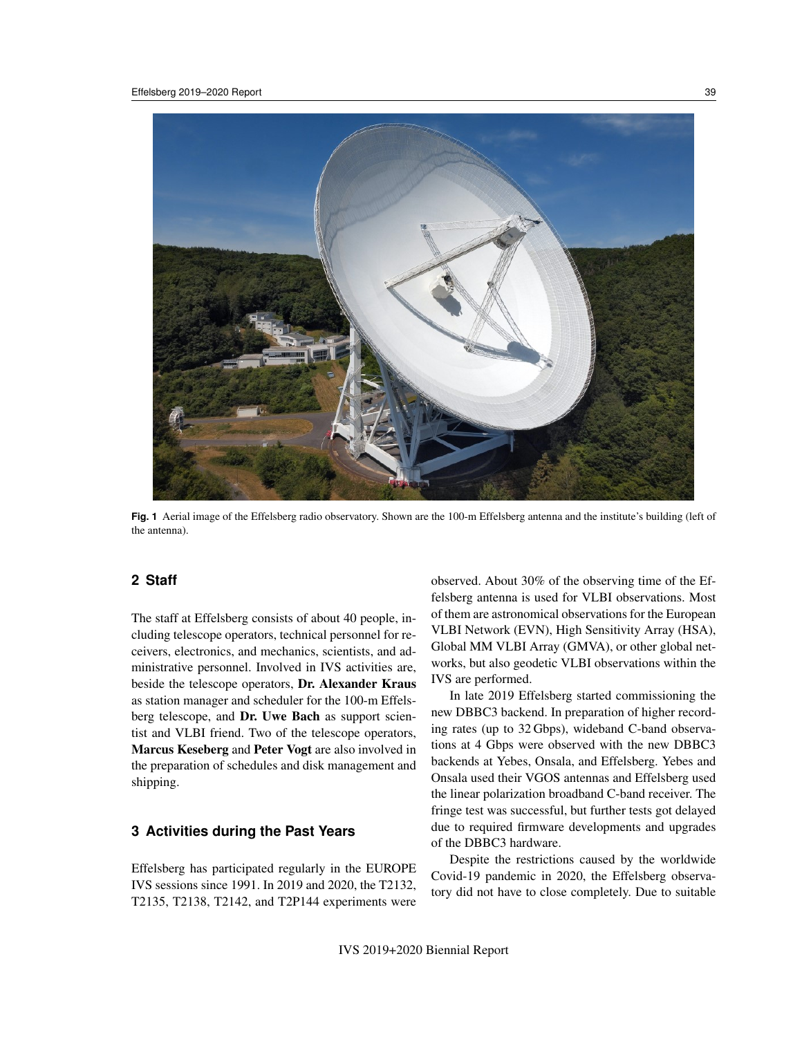

**Fig. 1** Aerial image of the Effelsberg radio observatory. Shown are the 100-m Effelsberg antenna and the institute's building (left of the antenna).

## **2 Staff**

The staff at Effelsberg consists of about 40 people, including telescope operators, technical personnel for receivers, electronics, and mechanics, scientists, and administrative personnel. Involved in IVS activities are, beside the telescope operators, Dr. Alexander Kraus as station manager and scheduler for the 100-m Effelsberg telescope, and Dr. Uwe Bach as support scientist and VLBI friend. Two of the telescope operators, Marcus Keseberg and Peter Vogt are also involved in the preparation of schedules and disk management and shipping.

# **3 Activities during the Past Years**

Effelsberg has participated regularly in the EUROPE IVS sessions since 1991. In 2019 and 2020, the T2132, T2135, T2138, T2142, and T2P144 experiments were observed. About 30% of the observing time of the Effelsberg antenna is used for VLBI observations. Most of them are astronomical observations for the European VLBI Network (EVN), High Sensitivity Array (HSA), Global MM VLBI Array (GMVA), or other global networks, but also geodetic VLBI observations within the IVS are performed.

In late 2019 Effelsberg started commissioning the new DBBC3 backend. In preparation of higher recording rates (up to 32 Gbps), wideband C-band observations at 4 Gbps were observed with the new DBBC3 backends at Yebes, Onsala, and Effelsberg. Yebes and Onsala used their VGOS antennas and Effelsberg used the linear polarization broadband C-band receiver. The fringe test was successful, but further tests got delayed due to required firmware developments and upgrades of the DBBC3 hardware.

Despite the restrictions caused by the worldwide Covid-19 pandemic in 2020, the Effelsberg observatory did not have to close completely. Due to suitable